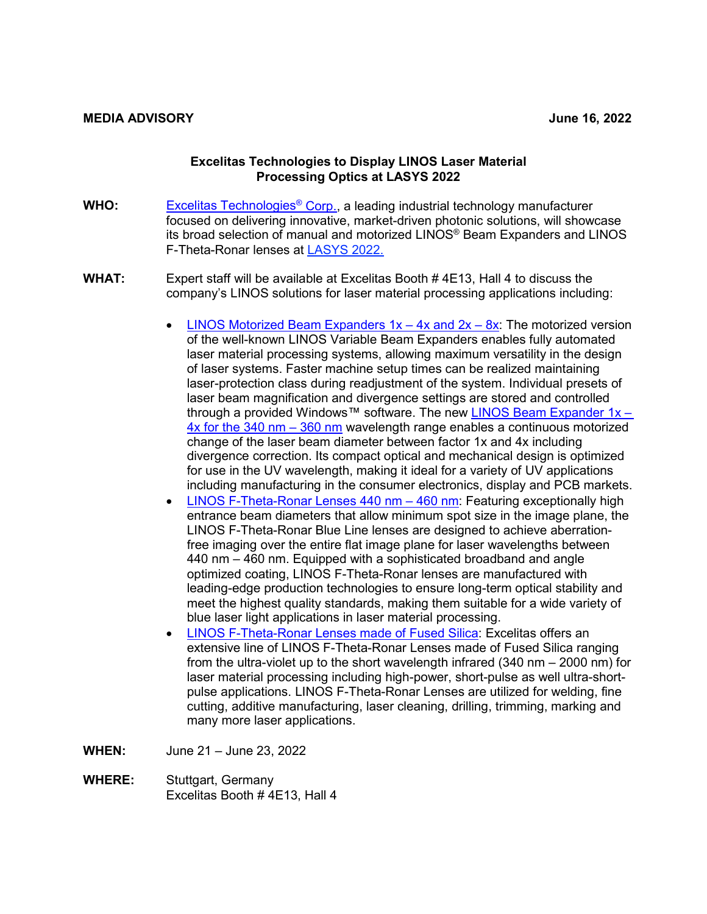## **Excelitas Technologies to Display LINOS Laser Material Processing Optics at LASYS 2022**

- **WHO:** [Excelitas Technologies®](https://www.excelitas.com/) Corp., a leading industrial technology manufacturer focused on delivering innovative, market-driven photonic solutions, will showcase its broad selection of manual and motorized LINOS® Beam Expanders and LINOS F-Theta-Ronar lenses at [LASYS 2022.](https://www.messe-stuttgart.de/lasys/en)
- **WHAT:** Expert staff will be available at Excelitas Booth # 4E13, Hall 4 to discuss the company's LINOS solutions for laser material processing applications including:
	- LINOS Motorized Beam Expanders  $1x 4x$  and  $2x 8x$ : The motorized version of the well-known LINOS Variable Beam Expanders enables fully automated laser material processing systems, allowing maximum versatility in the design of laser systems. Faster machine setup times can be realized maintaining laser-protection class during readjustment of the system. Individual presets of laser beam magnification and divergence settings are stored and controlled through a provided Windows™ software. The new LINOS Beam Expander 1x -[4x for the 340 nm –](https://www.excelitas.com/press-release/excelitas-technologies-launches-motorized-linos-beam-expander-1x-4x-uv-340-nm-360-nm) 360 nm wavelength range enables a continuous motorized change of the laser beam diameter between factor 1x and 4x including divergence correction. Its compact optical and mechanical design is optimized for use in the UV wavelength, making it ideal for a variety of UV applications including manufacturing in the consumer electronics, display and PCB markets.
	- [LINOS F-Theta-Ronar Lenses 440 nm –](https://www.excelitas.com/product/linos-f-theta-ronar-lenses-440-460-nm) 460 nm: Featuring exceptionally high entrance beam diameters that allow minimum spot size in the image plane, the LINOS F-Theta-Ronar Blue Line lenses are designed to achieve aberrationfree imaging over the entire flat image plane for laser wavelengths between 440 nm – 460 nm. Equipped with a sophisticated broadband and angle optimized coating, LINOS F-Theta-Ronar lenses are manufactured with leading-edge production technologies to ensure long-term optical stability and meet the highest quality standards, making them suitable for a wide variety of blue laser light applications in laser material processing.
	- [LINOS F-Theta-Ronar Lenses made of Fused Silica:](https://www.excelitas.com/product-category/linos-f-theta-ronar-lenses) Excelitas offers an extensive line of LINOS F-Theta-Ronar Lenses made of Fused Silica ranging from the ultra-violet up to the short wavelength infrared (340 nm – 2000 nm) for laser material processing including high-power, short-pulse as well ultra-shortpulse applications. LINOS F-Theta-Ronar Lenses are utilized for welding, fine cutting, additive manufacturing, laser cleaning, drilling, trimming, marking and many more laser applications.
- **WHEN:** June 21 June 23, 2022
- **WHERE:** Stuttgart, Germany Excelitas Booth # 4E13, Hall 4